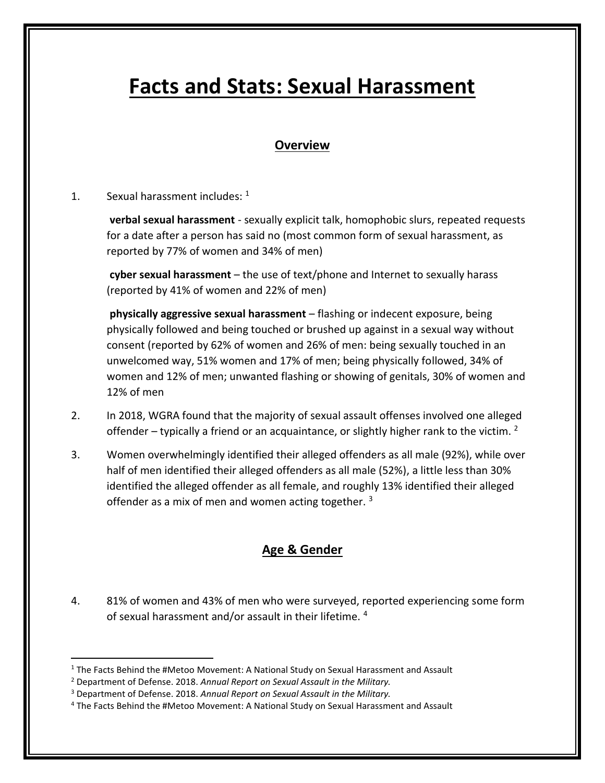# **Facts and Stats: Sexual Harassment**

## **Overview**

#### 1. Sexual harassment includes:  $1$

**verbal sexual harassment** - sexually explicit talk, homophobic slurs, repeated requests for a date after a person has said no (most common form of sexual harassment, as reported by 77% of women and 34% of men)

**cyber sexual harassment** – the use of text/phone and Internet to sexually harass (reported by 41% of women and 22% of men)

**physically aggressive sexual harassment** – flashing or indecent exposure, being physically followed and being touched or brushed up against in a sexual way without consent (reported by 62% of women and 26% of men: being sexually touched in an unwelcomed way, 51% women and 17% of men; being physically followed, 34% of women and 12% of men; unwanted flashing or showing of genitals, 30% of women and 12% of men

- 2. In 2018, WGRA found that the majority of sexual assault offenses involved one alleged offender – typically a friend or an acquaintance, or slightly higher rank to the victim.  $2$
- 3. Women overwhelmingly identified their alleged offenders as all male (92%), while over half of men identified their alleged offenders as all male (52%), a little less than 30% identified the alleged offender as all female, and roughly 13% identified their alleged offender as a mix of men and women acting together.<sup>3</sup>

#### **Age & Gender**

4. 81% of women and 43% of men who were surveyed, reported experiencing some form of sexual harassment and/or assault in their lifetime. 4

<sup>&</sup>lt;sup>1</sup> The Facts Behind the #Metoo Movement: A National Study on Sexual Harassment and Assault

<sup>2</sup> Department of Defense. 2018. *Annual Report on Sexual Assault in the Military.*

<sup>3</sup> Department of Defense. 2018. *Annual Report on Sexual Assault in the Military.*

<sup>4</sup> The Facts Behind the #Metoo Movement: A National Study on Sexual Harassment and Assault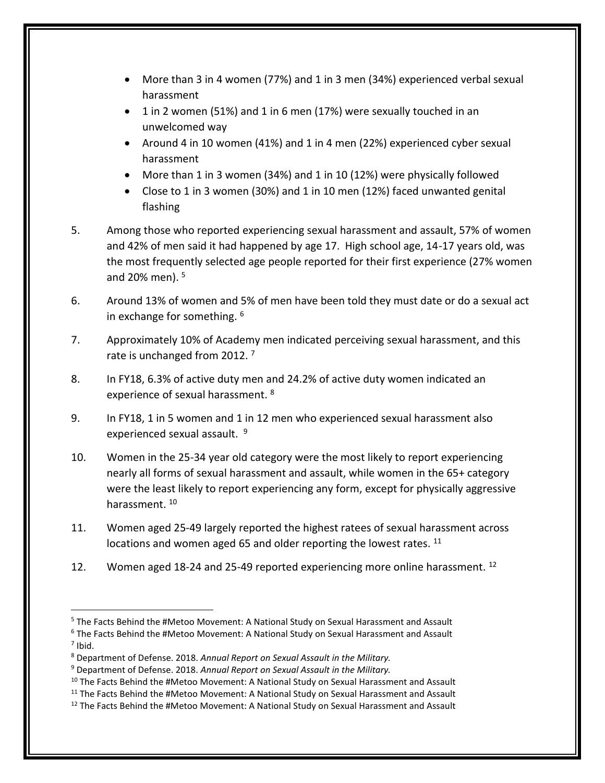- More than 3 in 4 women (77%) and 1 in 3 men (34%) experienced verbal sexual harassment
- 1 in 2 women (51%) and 1 in 6 men (17%) were sexually touched in an unwelcomed way
- Around 4 in 10 women (41%) and 1 in 4 men (22%) experienced cyber sexual harassment
- More than 1 in 3 women (34%) and 1 in 10 (12%) were physically followed
- Close to 1 in 3 women (30%) and 1 in 10 men (12%) faced unwanted genital flashing
- 5. Among those who reported experiencing sexual harassment and assault, 57% of women and 42% of men said it had happened by age 17. High school age, 14-17 years old, was the most frequently selected age people reported for their first experience (27% women and 20% men). <sup>5</sup>
- 6. Around 13% of women and 5% of men have been told they must date or do a sexual act in exchange for something. <sup>6</sup>
- 7. Approximately 10% of Academy men indicated perceiving sexual harassment, and this rate is unchanged from 2012.<sup>7</sup>
- 8. In FY18, 6.3% of active duty men and 24.2% of active duty women indicated an experience of sexual harassment. <sup>8</sup>
- 9. In FY18, 1 in 5 women and 1 in 12 men who experienced sexual harassment also experienced sexual assault. <sup>9</sup>
- 10. Women in the 25-34 year old category were the most likely to report experiencing nearly all forms of sexual harassment and assault, while women in the 65+ category were the least likely to report experiencing any form, except for physically aggressive harassment. <sup>10</sup>
- 11. Women aged 25-49 largely reported the highest ratees of sexual harassment across locations and women aged 65 and older reporting the lowest rates. <sup>11</sup>
- 12. Women aged 18-24 and 25-49 reported experiencing more online harassment.  $^{12}$

<sup>5</sup> The Facts Behind the #Metoo Movement: A National Study on Sexual Harassment and Assault

<sup>6</sup> The Facts Behind the #Metoo Movement: A National Study on Sexual Harassment and Assault  $<sup>7</sup>$  Ibid.</sup>

<sup>8</sup> Department of Defense. 2018. *Annual Report on Sexual Assault in the Military.*

<sup>9</sup> Department of Defense. 2018. *Annual Report on Sexual Assault in the Military.*

 $10$  The Facts Behind the #Metoo Movement: A National Study on Sexual Harassment and Assault

 $11$  The Facts Behind the #Metoo Movement: A National Study on Sexual Harassment and Assault

 $12$  The Facts Behind the #Metoo Movement: A National Study on Sexual Harassment and Assault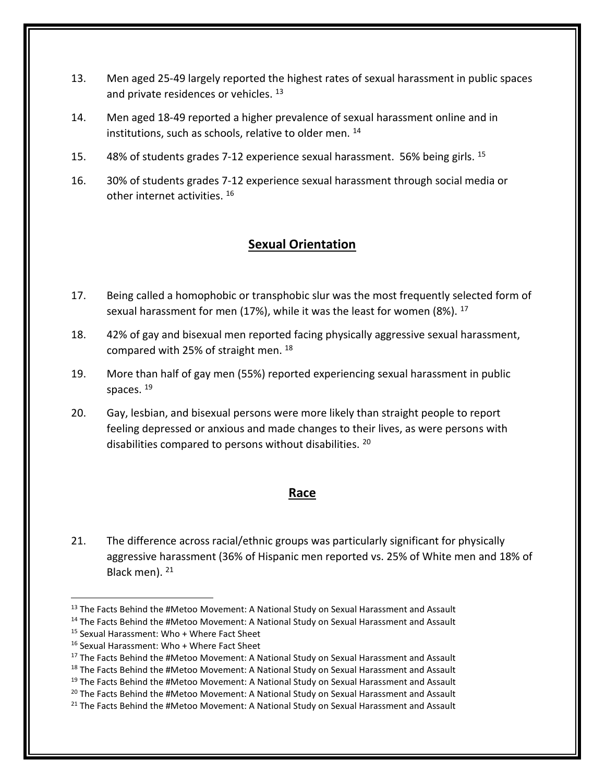- 13. Men aged 25-49 largely reported the highest rates of sexual harassment in public spaces and private residences or vehicles.<sup>13</sup>
- 14. Men aged 18-49 reported a higher prevalence of sexual harassment online and in institutions, such as schools, relative to older men. <sup>14</sup>
- 15. 48% of students grades 7-12 experience sexual harassment. 56% being girls. <sup>15</sup>
- 16. 30% of students grades 7-12 experience sexual harassment through social media or other internet activities. <sup>16</sup>

#### **Sexual Orientation**

- 17. Being called a homophobic or transphobic slur was the most frequently selected form of sexual harassment for men (17%), while it was the least for women (8%). <sup>17</sup>
- 18. 42% of gay and bisexual men reported facing physically aggressive sexual harassment, compared with 25% of straight men. <sup>18</sup>
- 19. More than half of gay men (55%) reported experiencing sexual harassment in public spaces. <sup>19</sup>
- 20. Gay, lesbian, and bisexual persons were more likely than straight people to report feeling depressed or anxious and made changes to their lives, as were persons with disabilities compared to persons without disabilities. <sup>20</sup>

#### **Race**

21. The difference across racial/ethnic groups was particularly significant for physically aggressive harassment (36% of Hispanic men reported vs. 25% of White men and 18% of Black men). <sup>21</sup>

<sup>&</sup>lt;sup>13</sup> The Facts Behind the #Metoo Movement: A National Study on Sexual Harassment and Assault

<sup>&</sup>lt;sup>14</sup> The Facts Behind the #Metoo Movement: A National Study on Sexual Harassment and Assault

<sup>15</sup> Sexual Harassment: Who + Where Fact Sheet

<sup>16</sup> Sexual Harassment: Who + Where Fact Sheet

<sup>&</sup>lt;sup>17</sup> The Facts Behind the #Metoo Movement: A National Study on Sexual Harassment and Assault

<sup>&</sup>lt;sup>18</sup> The Facts Behind the #Metoo Movement: A National Study on Sexual Harassment and Assault

 $19$  The Facts Behind the #Metoo Movement: A National Study on Sexual Harassment and Assault

<sup>&</sup>lt;sup>20</sup> The Facts Behind the #Metoo Movement: A National Study on Sexual Harassment and Assault

 $21$  The Facts Behind the #Metoo Movement: A National Study on Sexual Harassment and Assault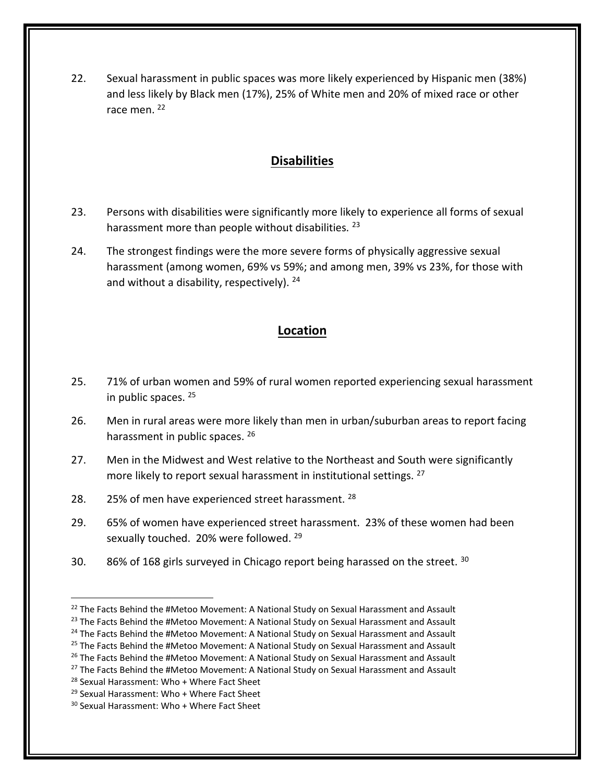22. Sexual harassment in public spaces was more likely experienced by Hispanic men (38%) and less likely by Black men (17%), 25% of White men and 20% of mixed race or other race men. <sup>22</sup>

## **Disabilities**

- 23. Persons with disabilities were significantly more likely to experience all forms of sexual harassment more than people without disabilities. <sup>23</sup>
- 24. The strongest findings were the more severe forms of physically aggressive sexual harassment (among women, 69% vs 59%; and among men, 39% vs 23%, for those with and without a disability, respectively).  $24$

# **Location**

- 25. 71% of urban women and 59% of rural women reported experiencing sexual harassment in public spaces. <sup>25</sup>
- 26. Men in rural areas were more likely than men in urban/suburban areas to report facing harassment in public spaces. 26
- 27. Men in the Midwest and West relative to the Northeast and South were significantly more likely to report sexual harassment in institutional settings. <sup>27</sup>
- 28. 25% of men have experienced street harassment. <sup>28</sup>
- 29. 65% of women have experienced street harassment. 23% of these women had been sexually touched. 20% were followed. <sup>29</sup>
- 30. 86% of 168 girls surveyed in Chicago report being harassed on the street.  $30$

 $22$  The Facts Behind the #Metoo Movement: A National Study on Sexual Harassment and Assault

<sup>&</sup>lt;sup>23</sup> The Facts Behind the #Metoo Movement: A National Study on Sexual Harassment and Assault

<sup>&</sup>lt;sup>24</sup> The Facts Behind the #Metoo Movement: A National Study on Sexual Harassment and Assault

<sup>&</sup>lt;sup>25</sup> The Facts Behind the #Metoo Movement: A National Study on Sexual Harassment and Assault

 $26$  The Facts Behind the #Metoo Movement: A National Study on Sexual Harassment and Assault

<sup>&</sup>lt;sup>27</sup> The Facts Behind the #Metoo Movement: A National Study on Sexual Harassment and Assault

<sup>28</sup> Sexual Harassment: Who + Where Fact Sheet

<sup>29</sup> Sexual Harassment: Who + Where Fact Sheet

<sup>30</sup> Sexual Harassment: Who + Where Fact Sheet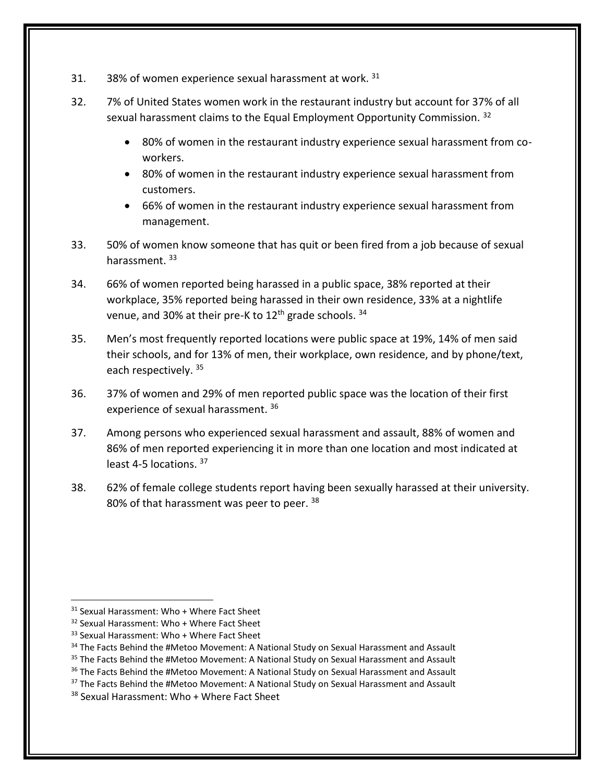- 31.  $38\%$  of women experience sexual harassment at work.  $31$
- 32. 7% of United States women work in the restaurant industry but account for 37% of all sexual harassment claims to the Equal Employment Opportunity Commission. 32
	- 80% of women in the restaurant industry experience sexual harassment from coworkers.
	- 80% of women in the restaurant industry experience sexual harassment from customers.
	- 66% of women in the restaurant industry experience sexual harassment from management.
- 33. 50% of women know someone that has quit or been fired from a job because of sexual harassment. 33
- 34. 66% of women reported being harassed in a public space, 38% reported at their workplace, 35% reported being harassed in their own residence, 33% at a nightlife venue, and 30% at their pre-K to  $12<sup>th</sup>$  grade schools.  $34<sup>th</sup>$
- 35. Men's most frequently reported locations were public space at 19%, 14% of men said their schools, and for 13% of men, their workplace, own residence, and by phone/text, each respectively. 35
- 36. 37% of women and 29% of men reported public space was the location of their first experience of sexual harassment. 36
- 37. Among persons who experienced sexual harassment and assault, 88% of women and 86% of men reported experiencing it in more than one location and most indicated at least 4-5 locations. <sup>37</sup>
- 38. 62% of female college students report having been sexually harassed at their university. 80% of that harassment was peer to peer. 38

<sup>31</sup> Sexual Harassment: Who + Where Fact Sheet

<sup>&</sup>lt;sup>32</sup> Sexual Harassment: Who + Where Fact Sheet

<sup>33</sup> Sexual Harassment: Who + Where Fact Sheet

<sup>&</sup>lt;sup>34</sup> The Facts Behind the #Metoo Movement: A National Study on Sexual Harassment and Assault

<sup>&</sup>lt;sup>35</sup> The Facts Behind the #Metoo Movement: A National Study on Sexual Harassment and Assault

<sup>&</sup>lt;sup>36</sup> The Facts Behind the #Metoo Movement: A National Study on Sexual Harassment and Assault

<sup>&</sup>lt;sup>37</sup> The Facts Behind the #Metoo Movement: A National Study on Sexual Harassment and Assault

<sup>38</sup> Sexual Harassment: Who + Where Fact Sheet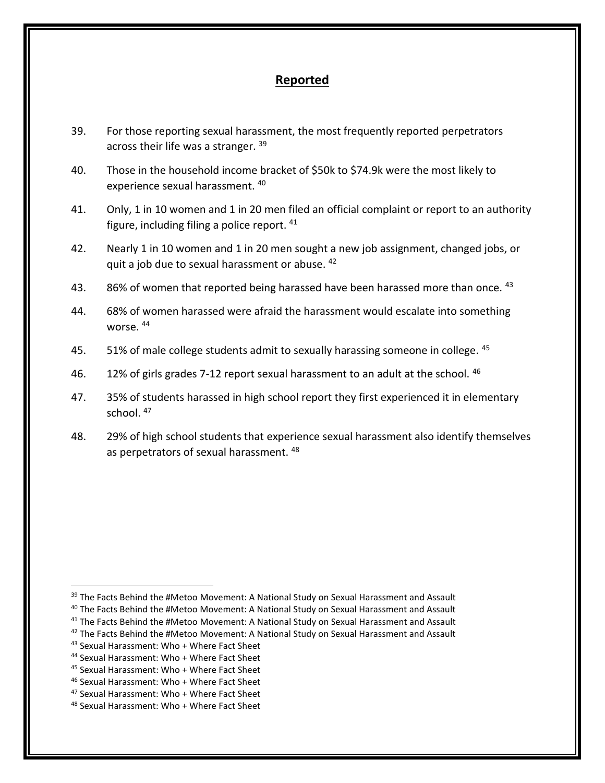#### **Reported**

- 39. For those reporting sexual harassment, the most frequently reported perpetrators across their life was a stranger. 39
- 40. Those in the household income bracket of \$50k to \$74.9k were the most likely to experience sexual harassment. <sup>40</sup>
- 41. Only, 1 in 10 women and 1 in 20 men filed an official complaint or report to an authority figure, including filing a police report. <sup>41</sup>
- 42. Nearly 1 in 10 women and 1 in 20 men sought a new job assignment, changed jobs, or quit a job due to sexual harassment or abuse. <sup>42</sup>
- 43. 86% of women that reported being harassed have been harassed more than once. 43
- 44. 68% of women harassed were afraid the harassment would escalate into something worse. <sup>44</sup>
- 45. 51% of male college students admit to sexually harassing someone in college. 45
- 46. 12% of girls grades 7-12 report sexual harassment to an adult at the school. 46
- 47. 35% of students harassed in high school report they first experienced it in elementary school. <sup>47</sup>
- 48. 29% of high school students that experience sexual harassment also identify themselves as perpetrators of sexual harassment.<sup>48</sup>

<sup>&</sup>lt;sup>39</sup> The Facts Behind the #Metoo Movement: A National Study on Sexual Harassment and Assault

<sup>&</sup>lt;sup>40</sup> The Facts Behind the #Metoo Movement: A National Study on Sexual Harassment and Assault

<sup>&</sup>lt;sup>41</sup> The Facts Behind the #Metoo Movement: A National Study on Sexual Harassment and Assault

 $42$  The Facts Behind the #Metoo Movement: A National Study on Sexual Harassment and Assault

<sup>43</sup> Sexual Harassment: Who + Where Fact Sheet

<sup>44</sup> Sexual Harassment: Who + Where Fact Sheet

<sup>45</sup> Sexual Harassment: Who + Where Fact Sheet

<sup>46</sup> Sexual Harassment: Who + Where Fact Sheet

<sup>47</sup> Sexual Harassment: Who + Where Fact Sheet

<sup>48</sup> Sexual Harassment: Who + Where Fact Sheet